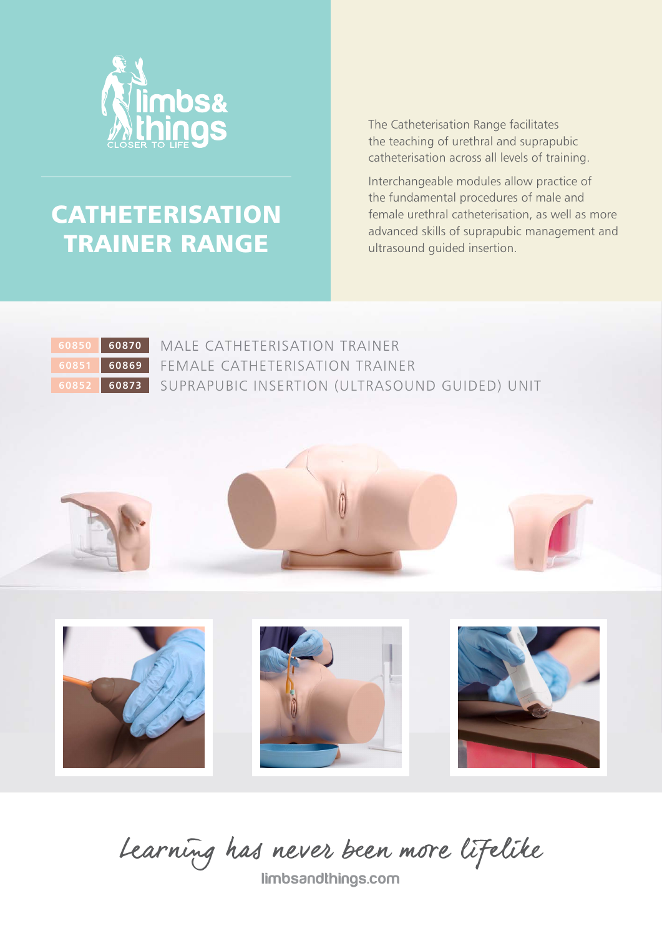

# **CATHETERISATION** TRAINER RANGE

The Catheterisation Range facilitates the teaching of urethral and suprapubic catheterisation across all levels of training.

Interchangeable modules allow practice of the fundamental procedures of male and female urethral catheterisation, as well as more advanced skills of suprapubic management and ultrasound guided insertion.



MALE CATHETERISATION TRAINER FEMALE CATHETERISATION TRAINER SUPRAPUBIC INSERTION (ULTRASOUND GUIDED) UNIT





Learning has never been more lifelike

limbsandthings.com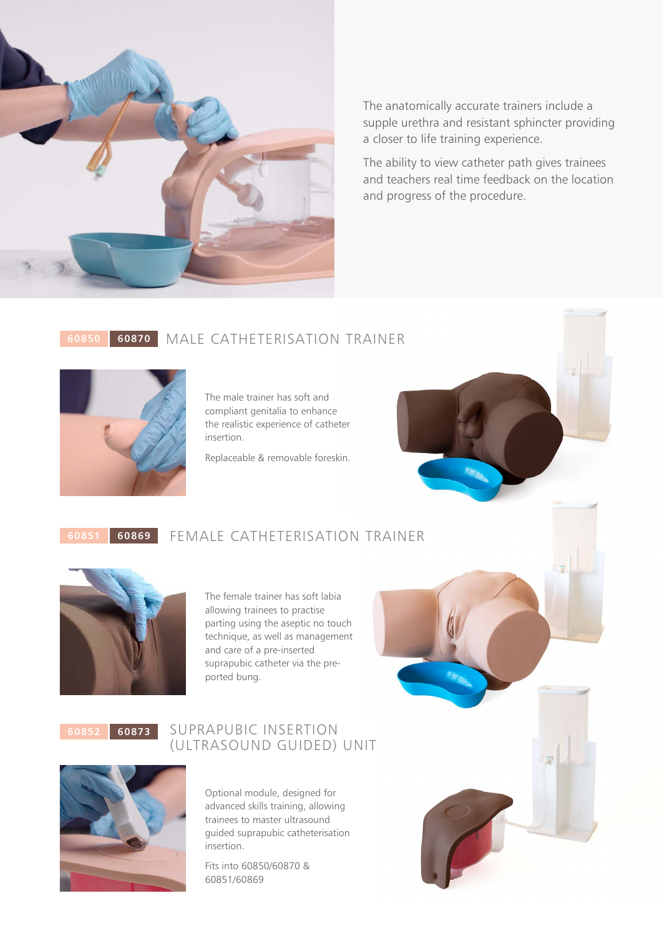

The anatomically accurate trainers include a supple urethra and resistant sphincter providing a closer to life training experience.

The ability to view catheter path gives trainees and teachers real time feedback on the location and progress of the procedure.

### MALE CATHETERISATION TRAINER **60870**



The male trainer has soft and compliant genitalia to enhance the realistic experience of catheter insertion.

Replaceable & removable foreskin.

#### FEMALE CATHETERISATION TRAINER **60869**



### The female trainer has soft labia allowing trainees to practise parting using the aseptic no touch technique, as well as management and care of a pre-inserted suprapubic catheter via the preported bung.

**60852 60873**

### SUPRAPUBIC INSERTION (ULTRASOUND GUIDED) UNIT

Optional module, designed for advanced skills training, allowing trainees to master ultrasound guided suprapubic catheterisation insertion.

Fits into 60850/60870 & 60851/60869

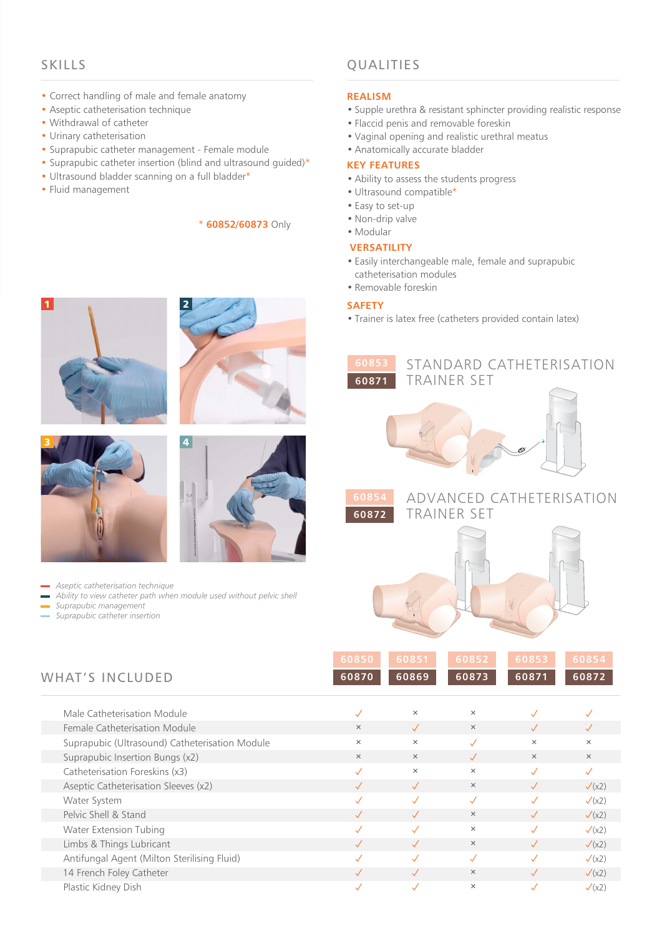### SKILLS

- Correct handling of male and female anatomy
- Aseptic catheterisation technique
- Withdrawal of catheter
- Urinary catheterisation
- Suprapubic catheter management Female module
- Suprapubic catheter insertion (blind and ultrasound guided)\*
- Ultrasound bladder scanning on a full bladder\*
- Fluid management

### \* **60852/60873** Only

## QUALITIES

### **REALISM**

- Supple urethra & resistant sphincter providing realistic response
- Flaccid penis and removable foreskin
- Vaginal opening and realistic urethral meatus
- Anatomically accurate bladder

### **KEY FEATURES**

- Ability to assess the students progress
- Ultrasound compatible\*
- Easy to set-up
- Non-drip valve
- Modular

### **VERSATILITY**

- Easily interchangeable male, female and suprapubic catheterisation modules
- Removable foreskin

### **SAFETY**

**60853 60871**

• Trainer is latex free (catheters provided contain latex)

TRAINER SET









- *Aseptic catheterisation technique*
- *Ability to view catheter path when module used without pelvic shell*
- *Suprapubic management*
- *Suprapubic catheter insertion*

| <b>WHAT'S INCLUDED</b>                         | 60850<br>60870 | 60851<br>60869 | 60852<br>60873 | 60853<br>60871 | 60854<br>60872    |
|------------------------------------------------|----------------|----------------|----------------|----------------|-------------------|
| Male Catheterisation Module                    | $\checkmark$   | $\times$       | $\times$       | $\sqrt{}$      | $\checkmark$      |
| Female Catheterisation Module                  | $\times$       | $\sqrt{}$      | $\times$       | $\checkmark$   |                   |
| Suprapubic (Ultrasound) Catheterisation Module | $\times$       | $\times$       | $\checkmark$   | $\times$       | $\times$          |
| Suprapubic Insertion Bungs (x2)                | $\times$       | $\times$       | $\sqrt{}$      | $\times$       | $\times$          |
| Catheterisation Foreskins (x3)                 | J              | $\times$       | $\times$       | $\checkmark$   | $\checkmark$      |
| Aseptic Catheterisation Sleeves (x2)           | $\checkmark$   | $\sqrt{}$      | $\times$       | $\sqrt{}$      | $\sqrt{(x2)}$     |
| Water System                                   | $\checkmark$   | $\checkmark$   | $\checkmark$   | $\checkmark$   | $\checkmark$ (x2) |
| Pelvic Shell & Stand                           |                | $\checkmark$   | $\times$       | $\sqrt{}$      | $\sqrt{(x2)}$     |
| <b>Water Extension Tubing</b>                  | J              | $\checkmark$   | $\times$       | J              | $\sqrt{(x2)}$     |
| Limbs & Things Lubricant                       |                | $\checkmark$   | $\times$       | $\checkmark$   | $\sqrt{(x2)}$     |
| Antifungal Agent (Milton Sterilising Fluid)    |                | $\checkmark$   | $\checkmark$   | $\checkmark$   | $\checkmark$ (x2) |
| 14 French Foley Catheter                       |                | $\checkmark$   | $\times$       | $\checkmark$   | $\sqrt{(x2)}$     |
| Plastic Kidney Dish                            | ✓              | $\checkmark$   | $\times$       | $\checkmark$   | $\sqrt{(x2)}$     |

**60872**



STANDARD CATHETERISATION